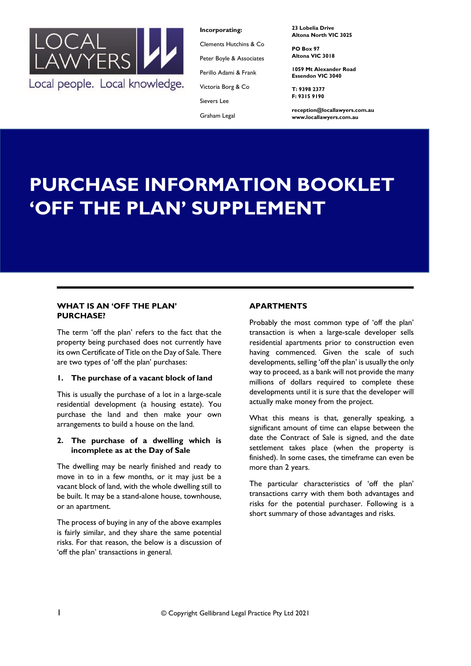

**Incorporating:**

Clements Hutchins & Co

Peter Boyle & Associates

Perillo Adami & Frank

Victoria Borg & Co

Sievers Lee

Graham Legal

**23 Lobelia Drive Altona North VIC 3025**

**PO Box 97 Altona VIC 3018**

**1059 Mt Alexander Road Essendon VIC 3040**

**T: 9398 2377 F: 9315 9190**

**reception@locallawyers.com.au www.locallawyers.com.au**

# **PURCHASE INFORMATION BOOKLET 'OFF THE PLAN' SUPPLEMENT**

# **WHAT IS AN 'OFF THE PLAN' PURCHASE?**

The term 'off the plan' refers to the fact that the property being purchased does not currently have its own Certificate of Title on the Day of Sale. There are two types of 'off the plan' purchases:

# **1. The purchase of a vacant block of land**

This is usually the purchase of a lot in a large-scale residential development (a housing estate). You purchase the land and then make your own arrangements to build a house on the land.

# **2. The purchase of a dwelling which is incomplete as at the Day of Sale**

The dwelling may be nearly finished and ready to move in to in a few months, or it may just be a vacant block of land, with the whole dwelling still to be built. It may be a stand-alone house, townhouse, or an apartment.

The process of buying in any of the above examples is fairly similar, and they share the same potential risks. For that reason, the below is a discussion of 'off the plan' transactions in general.

# **APARTMENTS**

Probably the most common type of 'off the plan' transaction is when a large-scale developer sells residential apartments prior to construction even having commenced. Given the scale of such developments, selling 'off the plan' is usually the only way to proceed, as a bank will not provide the many millions of dollars required to complete these developments until it is sure that the developer will actually make money from the project.

What this means is that, generally speaking, a significant amount of time can elapse between the date the Contract of Sale is signed, and the date settlement takes place (when the property is finished). In some cases, the timeframe can even be more than 2 years.

The particular characteristics of 'off the plan' transactions carry with them both advantages and risks for the potential purchaser. Following is a short summary of those advantages and risks.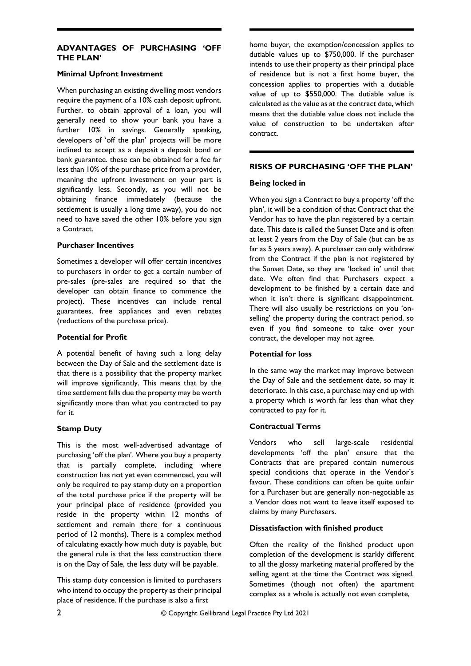# **ADVANTAGES OF PURCHASING 'OFF THE PLAN'**

## **Minimal Upfront Investment**

When purchasing an existing dwelling most vendors require the payment of a 10% cash deposit upfront. Further, to obtain approval of a loan, you will generally need to show your bank you have a further 10% in savings. Generally speaking, developers of 'off the plan' projects will be more inclined to accept as a deposit a deposit bond or bank guarantee. these can be obtained for a fee far less than 10% of the purchase price from a provider, meaning the upfront investment on your part is significantly less. Secondly, as you will not be obtaining finance immediately (because the settlement is usually a long time away), you do not need to have saved the other 10% before you sign a Contract.

## **Purchaser Incentives**

Sometimes a developer will offer certain incentives to purchasers in order to get a certain number of pre-sales (pre-sales are required so that the developer can obtain finance to commence the project). These incentives can include rental guarantees, free appliances and even rebates (reductions of the purchase price).

## **Potential for Profit**

A potential benefit of having such a long delay between the Day of Sale and the settlement date is that there is a possibility that the property market will improve significantly. This means that by the time settlement falls due the property may be worth significantly more than what you contracted to pay for it.

# **Stamp Duty**

This is the most well-advertised advantage of purchasing 'off the plan'. Where you buy a property that is partially complete, including where construction has not yet even commenced, you will only be required to pay stamp duty on a proportion of the total purchase price if the property will be your principal place of residence (provided you reside in the property within 12 months of settlement and remain there for a continuous period of 12 months). There is a complex method of calculating exactly how much duty is payable, but the general rule is that the less construction there is on the Day of Sale, the less duty will be payable.

This stamp duty concession is limited to purchasers who intend to occupy the property as their principal place of residence. If the purchase is also a first

home buyer, the exemption/concession applies to dutiable values up to \$750,000. If the purchaser intends to use their property as their principal place of residence but is not a first home buyer, the concession applies to properties with a dutiable value of up to \$550,000. The dutiable value is calculated as the value as at the contract date, which means that the dutiable value does not include the value of construction to be undertaken after contract.

# **RISKS OF PURCHASING 'OFF THE PLAN'**

## **Being locked in**

When you sign a Contract to buy a property 'off the plan', it will be a condition of that Contract that the Vendor has to have the plan registered by a certain date. This date is called the Sunset Date and is often at least 2 years from the Day of Sale (but can be as far as 5 years away). A purchaser can only withdraw from the Contract if the plan is not registered by the Sunset Date, so they are 'locked in' until that date. We often find that Purchasers expect a development to be finished by a certain date and when it isn't there is significant disappointment. There will also usually be restrictions on you 'onselling' the property during the contract period, so even if you find someone to take over your contract, the developer may not agree.

# **Potential for loss**

In the same way the market may improve between the Day of Sale and the settlement date, so may it deteriorate. In this case, a purchase may end up with a property which is worth far less than what they contracted to pay for it.

## **Contractual Terms**

Vendors who sell large-scale residential developments 'off the plan' ensure that the Contracts that are prepared contain numerous special conditions that operate in the Vendor's favour. These conditions can often be quite unfair for a Purchaser but are generally non-negotiable as a Vendor does not want to leave itself exposed to claims by many Purchasers.

## **Dissatisfaction with finished product**

Often the reality of the finished product upon completion of the development is starkly different to all the glossy marketing material proffered by the selling agent at the time the Contract was signed. Sometimes (though not often) the apartment complex as a whole is actually not even complete,